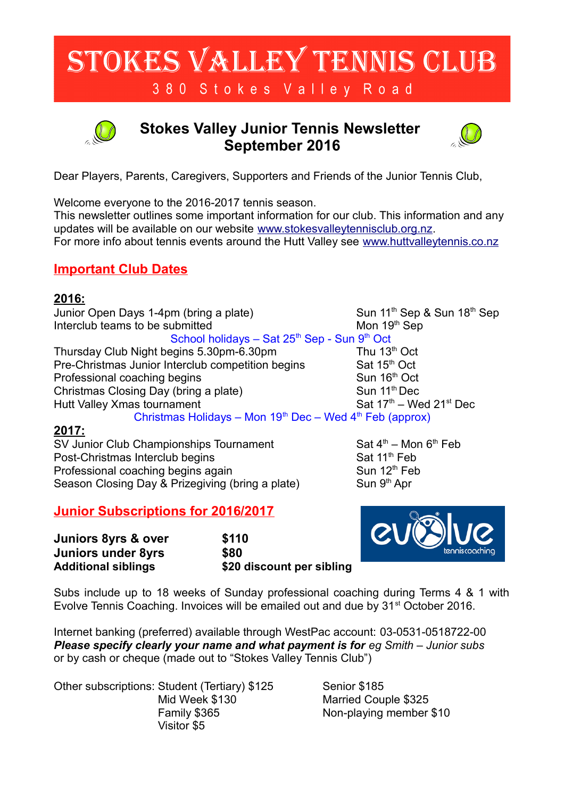# STOKES VALLEY TENNIS CLUB

380 Stokes Valley Road



# **Stokes Valley Junior Tennis Newsletter September 2016**



Dear Players, Parents, Caregivers, Supporters and Friends of the Junior Tennis Club,

Welcome everyone to the 2016-2017 tennis season.

This newsletter outlines some important information for our club. This information and any updates will be available on our website [www.stokesvalleytennisclub.org.nz.](http://www.stokesvalleytennisclub.org.nz/) For more info about tennis events around the Hutt Valley see [www.huttvalleytennis.co.nz](http://www.huttvalleytennis.co.nz/)

#### **Important Club Dates**

#### **2016:**

Junior Open Days 1-4pm (bring a plate) Sun 11<sup>th</sup> Sep & Sun 18<sup>th</sup> Sep Interclub teams to be submitted  $M$ on 19<sup>th</sup> Sep

School holidays – Sat  $25<sup>th</sup>$  Sep - Sun  $9<sup>th</sup>$  Oct

Thursday Club Night begins 5.30pm-6.30pm Thu 13<sup>th</sup> Oct Pre-Christmas Junior Interclub competition begins Sat 15th Oct Professional coaching begins Christmas Closing Day (bring a plate) Sun 11<sup>th</sup> Dec Hutt Valley Xmas tournament  $Sat 17<sup>th</sup> - Wed 21<sup>st</sup> Dec$ 

Christmas Holidays – Mon  $19<sup>th</sup>$  Dec – Wed  $4<sup>th</sup>$  Feb (approx)

#### **2017:**

SV Junior Club Championships Tournament Sat  $4<sup>th</sup>$  – Mon  $6<sup>th</sup>$  Feb Post-Christmas Interclub begins Sat 11<sup>th</sup> Feb Professional coaching begins again Sun 12th Feb Season Closing Day & Prizegiving (bring a plate) Sun 9th Apr

#### **Junior Subscriptions for 2016/2017**

| Juniors 8yrs & over        | \$110                     |
|----------------------------|---------------------------|
| <b>Juniors under 8yrs</b>  | \$80                      |
| <b>Additional siblings</b> | \$20 discount per sibling |



Subs include up to 18 weeks of Sunday professional coaching during Terms 4 & 1 with Evolve Tennis Coaching. Invoices will be emailed out and due by 31<sup>st</sup> October 2016.

Internet banking (preferred) available through WestPac account: 03-0531-0518722-00 *Please specify clearly your name and what payment is for eg Smith – Junior subs* or by cash or cheque (made out to "Stokes Valley Tennis Club")

Other subscriptions: Student (Tertiary) \$125 Senior \$185 Mid Week \$130 Married Couple \$325 Visitor \$5

Family \$365 Non-playing member \$10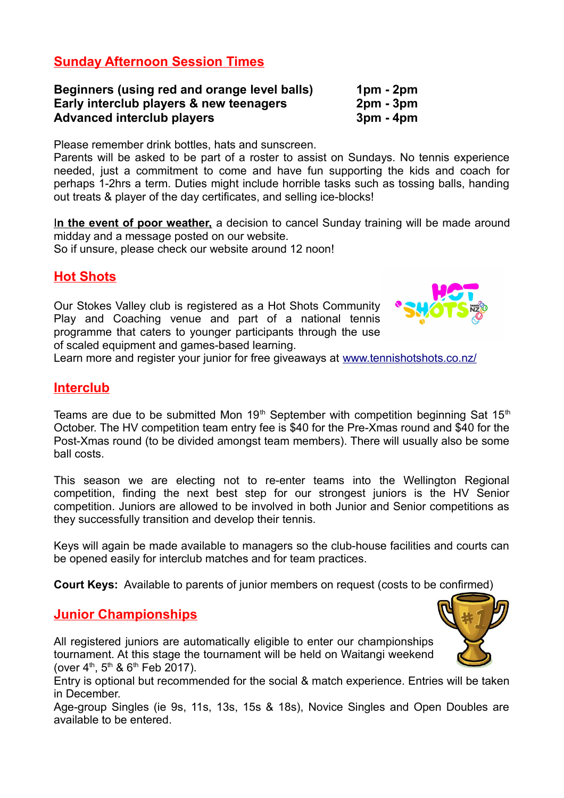# **Sunday Afternoon Session Times**

| Beginners (using red and orange level balls) | $1pm - 2pm$ |
|----------------------------------------------|-------------|
| Early interclub players & new teenagers      | 2pm - 3pm   |
| <b>Advanced interclub players</b>            | $3pm - 4pm$ |

Please remember drink bottles, hats and sunscreen.

Parents will be asked to be part of a roster to assist on Sundays. No tennis experience needed, just a commitment to come and have fun supporting the kids and coach for perhaps 1-2hrs a term. Duties might include horrible tasks such as tossing balls, handing out treats & player of the day certificates, and selling ice-blocks!

In the event of poor weather, a decision to cancel Sunday training will be made around midday and a message posted on our website.

So if unsure, please check our website around 12 noon!

### **Hot Shots**

Our Stokes Valley club is registered as a Hot Shots Community Play and Coaching venue and part of a national tennis programme that caters to younger participants through the use of scaled equipment and games-based learning.



Learn more and register your junior for free giveaways at [www.tennishotshots.co.nz/](http://www.tennishotshots.co.nz/)

#### **Interclub**

Teams are due to be submitted Mon 19<sup>th</sup> September with competition beginning Sat 15<sup>th</sup> October. The HV competition team entry fee is \$40 for the Pre-Xmas round and \$40 for the Post-Xmas round (to be divided amongst team members). There will usually also be some ball costs.

This season we are electing not to re-enter teams into the Wellington Regional competition, finding the next best step for our strongest juniors is the HV Senior competition. Juniors are allowed to be involved in both Junior and Senior competitions as they successfully transition and develop their tennis.

Keys will again be made available to managers so the club-house facilities and courts can be opened easily for interclub matches and for team practices.

**Court Keys:** Available to parents of junior members on request (costs to be confirmed)

### **Junior Championships**

All registered juniors are automatically eligible to enter our championships tournament. At this stage the tournament will be held on Waitangi weekend (over  $4^{\text{th}}$ ,  $5^{\text{th}}$  &  $6^{\text{th}}$  Feb 2017).

Entry is optional but recommended for the social & match experience. Entries will be taken in December.

Age-group Singles (ie 9s, 11s, 13s, 15s & 18s), Novice Singles and Open Doubles are available to be entered.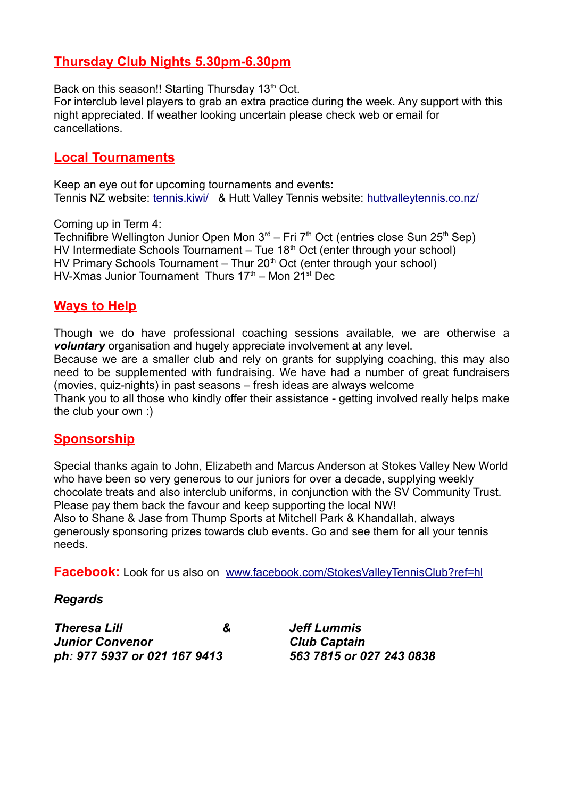## **Thursday Club Nights 5.30pm-6.30pm**

Back on this season!! Starting Thursday 13<sup>th</sup> Oct. For interclub level players to grab an extra practice during the week. Any support with this night appreciated. If weather looking uncertain please check web or email for cancellations.

#### **Local Tournaments**

Keep an eye out for upcoming tournaments and events: Tennis NZ website: [tennis.kiwi/](http://tennis.kiwi/) & Hutt Valley Tennis website: [huttvalleytennis.co.nz/](http://www.huttvalleytennis.co.nz/)

Coming up in Term 4:

Technifibre Wellington Junior Open Mon  $3^{rd}$  – Fri  $7^{th}$  Oct (entries close Sun  $25^{th}$  Sep) HV Intermediate Schools Tournament – Tue  $18<sup>th</sup>$  Oct (enter through your school) HV Primary Schools Tournament – Thur  $20<sup>th</sup>$  Oct (enter through your school) HV-Xmas Junior Tournament Thurs  $17<sup>th</sup>$  – Mon  $21<sup>st</sup>$  Dec

### **Ways to Help**

Though we do have professional coaching sessions available, we are otherwise a *voluntary* organisation and hugely appreciate involvement at any level.

Because we are a smaller club and rely on grants for supplying coaching, this may also need to be supplemented with fundraising. We have had a number of great fundraisers (movies, quiz-nights) in past seasons – fresh ideas are always welcome

Thank you to all those who kindly offer their assistance - getting involved really helps make the club your own :)

### **Sponsorship**

Special thanks again to John, Elizabeth and Marcus Anderson at Stokes Valley New World who have been so very generous to our juniors for over a decade, supplying weekly chocolate treats and also interclub uniforms, in conjunction with the SV Community Trust. Please pay them back the favour and keep supporting the local NW! Also to Shane & Jase from Thump Sports at Mitchell Park & Khandallah, always generously sponsoring prizes towards club events. Go and see them for all your tennis needs.

**Facebook:** Look for us also on [www.facebook.com/StokesValleyTennisClub?ref=hl](http://www.facebook.com/StokesValleyTennisClub?ref=hl)

#### *Regards*

*Theresa Lill & Jeff Lummis Junior Convenor Club Captain ph: 977 5937 or 021 167 9413 563 7815 or 027 243 0838*